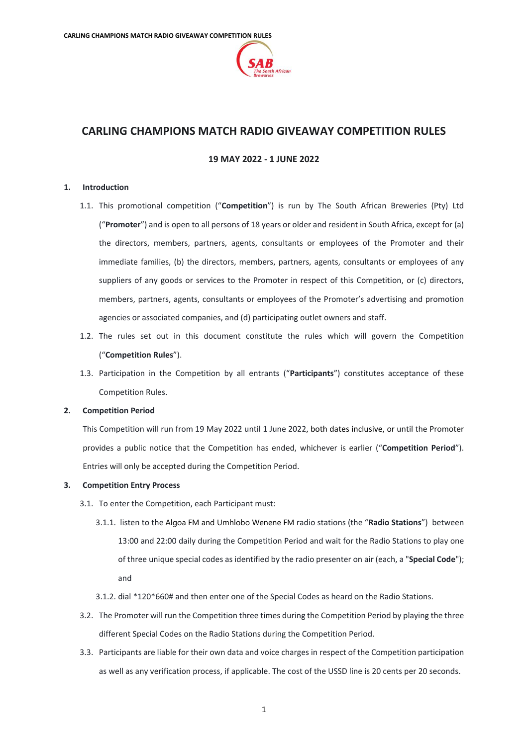

# **CARLING CHAMPIONS MATCH RADIO GIVEAWAY COMPETITION RULES**

# **19 MAY 2022 - 1 JUNE 2022**

### <span id="page-0-1"></span>**1. Introduction**

- 1.1. This promotional competition ("**Competition**") is run by The South African Breweries (Pty) Ltd ("**Promoter**") and is open to all persons of 18 years or older and resident in South Africa, except for (a) the directors, members, partners, agents, consultants or employees of the Promoter and their immediate families, (b) the directors, members, partners, agents, consultants or employees of any suppliers of any goods or services to the Promoter in respect of this Competition, or (c) directors, members, partners, agents, consultants or employees of the Promoter's advertising and promotion agencies or associated companies, and (d) participating outlet owners and staff.
- 1.2. The rules set out in this document constitute the rules which will govern the Competition ("**Competition Rules**").
- 1.3. Participation in the Competition by all entrants ("**Participants**") constitutes acceptance of these Competition Rules.

# **2. Competition Period**

This Competition will run from 19 May 2022 until 1 June 2022, both dates inclusive, or until the Promoter provides a public notice that the Competition has ended, whichever is earlier ("**Competition Period**"). Entries will only be accepted during the Competition Period.

#### <span id="page-0-0"></span>**3. Competition Entry Process**

- 3.1. To enter the Competition, each Participant must:
	- 3.1.1. listen to the Algoa FM and Umhlobo Wenene FM radio stations (the "**Radio Stations**") between 13:00 and 22:00 daily during the Competition Period and wait for the Radio Stations to play one of three unique special codes as identified by the radio presenter on air (each, a "**Special Code**"); and
	- 3.1.2. dial \*120\*660# and then enter one of the Special Codes as heard on the Radio Stations.
- 3.2. The Promoter will run the Competition three times during the Competition Period by playing the three different Special Codes on the Radio Stations during the Competition Period.
- 3.3. Participants are liable for their own data and voice charges in respect of the Competition participation as well as any verification process, if applicable. The cost of the USSD line is 20 cents per 20 seconds.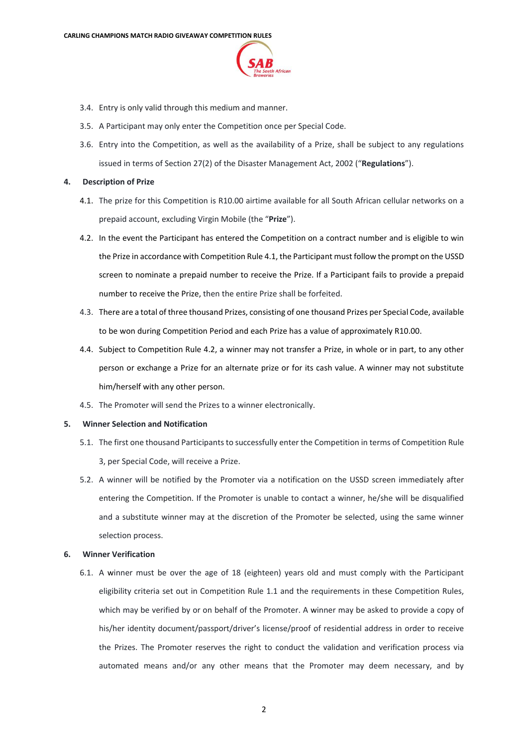

- 3.4. Entry is only valid through this medium and manner.
- 3.5. A Participant may only enter the Competition once per Special Code.
- 3.6. Entry into the Competition, as well as the availability of a Prize, shall be subject to any regulations issued in terms of Section 27(2) of the Disaster Management Act, 2002 ("**Regulations**").

#### <span id="page-1-0"></span>**4. Description of Prize**

- 4.1. The prize for this Competition is R10.00 airtime available for all South African cellular networks on a prepaid account, excluding Virgin Mobile (the "**Prize**").
- <span id="page-1-1"></span>4.2. In the event the Participant has entered the Competition on a contract number and is eligible to win the Prize in accordance with Competition Rul[e 4.1,](#page-1-0) the Participant must follow the prompt on the USSD screen to nominate a prepaid number to receive the Prize. If a Participant fails to provide a prepaid number to receive the Prize, then the entire Prize shall be forfeited.
- 4.3. There are a total of three thousand Prizes, consisting of one thousand Prizes per Special Code, available to be won during Competition Period and each Prize has a value of approximately R10.00.
- 4.4. Subject to Competition Rule [4.2,](#page-1-1) a winner may not transfer a Prize, in whole or in part, to any other person or exchange a Prize for an alternate prize or for its cash value. A winner may not substitute him/herself with any other person.
- 4.5. The Promoter will send the Prizes to a winner electronically.

## **5. Winner Selection and Notification**

- 5.1. The first one thousand Participants to successfully enter the Competition in terms of Competition Rule [3,](#page-0-0) per Special Code, will receive a Prize.
- 5.2. A winner will be notified by the Promoter via a notification on the USSD screen immediately after entering the Competition. If the Promoter is unable to contact a winner, he/she will be disqualified and a substitute winner may at the discretion of the Promoter be selected, using the same winner selection process.

#### **6. Winner Verification**

6.1. A winner must be over the age of 18 (eighteen) years old and must comply with the Participant eligibility criteria set out in Competition Rule [1.1](#page-0-1) and the requirements in these Competition Rules, which may be verified by or on behalf of the Promoter. A winner may be asked to provide a copy of his/her identity document/passport/driver's license/proof of residential address in order to receive the Prizes. The Promoter reserves the right to conduct the validation and verification process via automated means and/or any other means that the Promoter may deem necessary, and by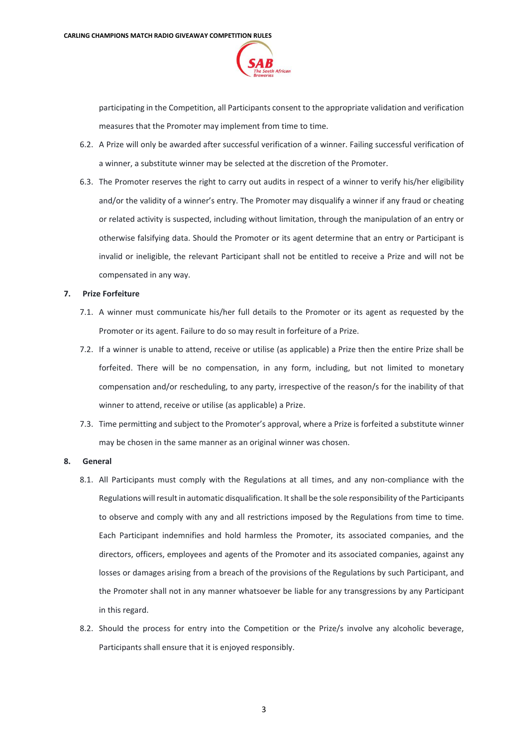

participating in the Competition, all Participants consent to the appropriate validation and verification measures that the Promoter may implement from time to time.

- 6.2. A Prize will only be awarded after successful verification of a winner. Failing successful verification of a winner, a substitute winner may be selected at the discretion of the Promoter.
- 6.3. The Promoter reserves the right to carry out audits in respect of a winner to verify his/her eligibility and/or the validity of a winner's entry. The Promoter may disqualify a winner if any fraud or cheating or related activity is suspected, including without limitation, through the manipulation of an entry or otherwise falsifying data. Should the Promoter or its agent determine that an entry or Participant is invalid or ineligible, the relevant Participant shall not be entitled to receive a Prize and will not be compensated in any way.

#### **7. Prize Forfeiture**

- 7.1. A winner must communicate his/her full details to the Promoter or its agent as requested by the Promoter or its agent. Failure to do so may result in forfeiture of a Prize.
- 7.2. If a winner is unable to attend, receive or utilise (as applicable) a Prize then the entire Prize shall be forfeited. There will be no compensation, in any form, including, but not limited to monetary compensation and/or rescheduling, to any party, irrespective of the reason/s for the inability of that winner to attend, receive or utilise (as applicable) a Prize.
- 7.3. Time permitting and subject to the Promoter's approval, where a Prize is forfeited a substitute winner may be chosen in the same manner as an original winner was chosen.

#### **8. General**

- 8.1. All Participants must comply with the Regulations at all times, and any non-compliance with the Regulations will result in automatic disqualification. It shall be the sole responsibility of the Participants to observe and comply with any and all restrictions imposed by the Regulations from time to time. Each Participant indemnifies and hold harmless the Promoter, its associated companies, and the directors, officers, employees and agents of the Promoter and its associated companies, against any losses or damages arising from a breach of the provisions of the Regulations by such Participant, and the Promoter shall not in any manner whatsoever be liable for any transgressions by any Participant in this regard.
- 8.2. Should the process for entry into the Competition or the Prize/s involve any alcoholic beverage, Participants shall ensure that it is enjoyed responsibly.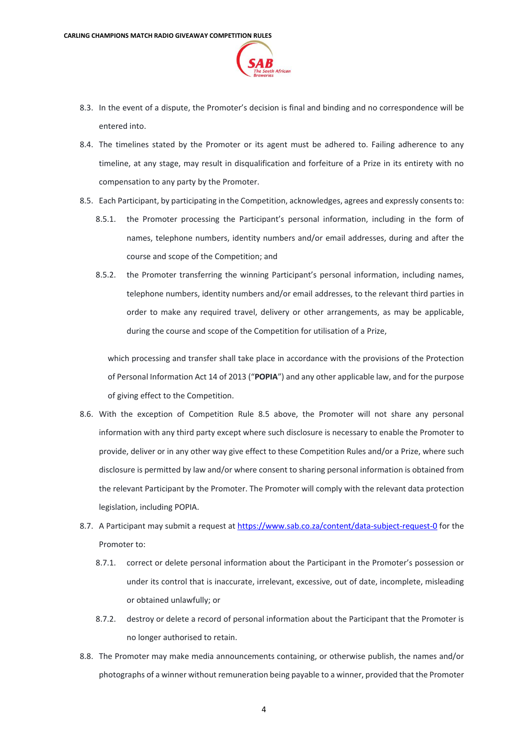

- 8.3. In the event of a dispute, the Promoter's decision is final and binding and no correspondence will be entered into.
- 8.4. The timelines stated by the Promoter or its agent must be adhered to. Failing adherence to any timeline, at any stage, may result in disqualification and forfeiture of a Prize in its entirety with no compensation to any party by the Promoter.
- <span id="page-3-0"></span>8.5. Each Participant, by participating in the Competition, acknowledges, agrees and expressly consents to:
	- 8.5.1. the Promoter processing the Participant's personal information, including in the form of names, telephone numbers, identity numbers and/or email addresses, during and after the course and scope of the Competition; and
	- 8.5.2. the Promoter transferring the winning Participant's personal information, including names, telephone numbers, identity numbers and/or email addresses, to the relevant third parties in order to make any required travel, delivery or other arrangements, as may be applicable, during the course and scope of the Competition for utilisation of a Prize,

which processing and transfer shall take place in accordance with the provisions of the Protection of Personal Information Act 14 of 2013 ("**POPIA**") and any other applicable law, and for the purpose of giving effect to the Competition.

- 8.6. With the exception of Competition Rule [8.5](#page-3-0) above, the Promoter will not share any personal information with any third party except where such disclosure is necessary to enable the Promoter to provide, deliver or in any other way give effect to these Competition Rules and/or a Prize, where such disclosure is permitted by law and/or where consent to sharing personal information is obtained from the relevant Participant by the Promoter. The Promoter will comply with the relevant data protection legislation, including POPIA.
- 8.7. A Participant may submit a request at<https://www.sab.co.za/content/data-subject-request-0> for the Promoter to:
	- 8.7.1. correct or delete personal information about the Participant in the Promoter's possession or under its control that is inaccurate, irrelevant, excessive, out of date, incomplete, misleading or obtained unlawfully; or
	- 8.7.2. destroy or delete a record of personal information about the Participant that the Promoter is no longer authorised to retain.
- 8.8. The Promoter may make media announcements containing, or otherwise publish, the names and/or photographs of a winner without remuneration being payable to a winner, provided that the Promoter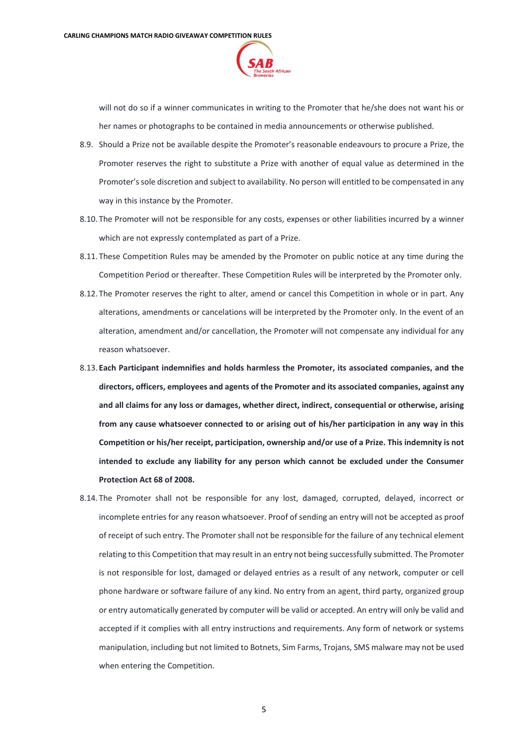

will not do so if a winner communicates in writing to the Promoter that he/she does not want his or her names or photographs to be contained in media announcements or otherwise published.

- 8.9. Should a Prize not be available despite the Promoter's reasonable endeavours to procure a Prize, the Promoter reserves the right to substitute a Prize with another of equal value as determined in the Promoter's sole discretion and subject to availability. No person will entitled to be compensated in any way in this instance by the Promoter.
- 8.10. The Promoter will not be responsible for any costs, expenses or other liabilities incurred by a winner which are not expressly contemplated as part of a Prize.
- 8.11. These Competition Rules may be amended by the Promoter on public notice at any time during the Competition Period or thereafter. These Competition Rules will be interpreted by the Promoter only.
- 8.12. The Promoter reserves the right to alter, amend or cancel this Competition in whole or in part. Any alterations, amendments or cancelations will be interpreted by the Promoter only. In the event of an alteration, amendment and/or cancellation, the Promoter will not compensate any individual for any reason whatsoever.
- 8.13. **Each Participant indemnifies and holds harmless the Promoter, its associated companies, and the directors, officers, employees and agents of the Promoter and its associated companies, against any and all claims for any loss or damages, whether direct, indirect, consequential or otherwise, arising from any cause whatsoever connected to or arising out of his/her participation in any way in this Competition or his/her receipt, participation, ownership and/or use of a Prize. This indemnity is not intended to exclude any liability for any person which cannot be excluded under the Consumer Protection Act 68 of 2008.**
- 8.14. The Promoter shall not be responsible for any lost, damaged, corrupted, delayed, incorrect or incomplete entries for any reason whatsoever. Proof of sending an entry will not be accepted as proof of receipt of such entry. The Promoter shall not be responsible for the failure of any technical element relating to this Competition that may result in an entry not being successfully submitted. The Promoter is not responsible for lost, damaged or delayed entries as a result of any network, computer or cell phone hardware or software failure of any kind. No entry from an agent, third party, organized group or entry automatically generated by computer will be valid or accepted. An entry will only be valid and accepted if it complies with all entry instructions and requirements. Any form of network or systems manipulation, including but not limited to Botnets, Sim Farms, Trojans, SMS malware may not be used when entering the Competition.